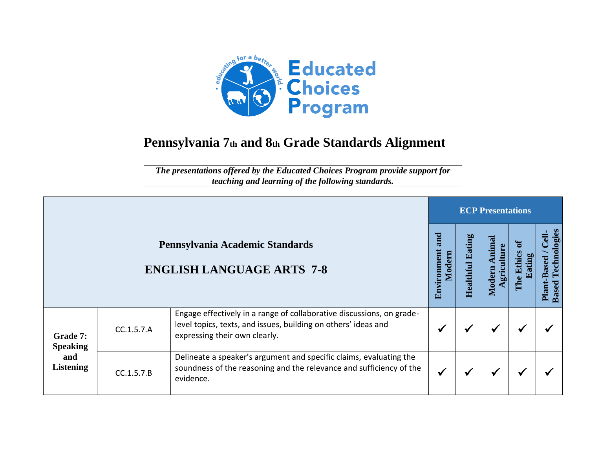

## **Pennsylvania 7th and 8th Grade Standards Alignment**

*The presentations offered by the Educated Choices Program provide support for teaching and learning of the following standards.*

|                                                        |            |                                                                                                                                                                          |                              |                   | <b>ECP Presentations</b> |        |                                                                 |
|--------------------------------------------------------|------------|--------------------------------------------------------------------------------------------------------------------------------------------------------------------------|------------------------------|-------------------|--------------------------|--------|-----------------------------------------------------------------|
|                                                        |            | Pennsylvania Academic Standards<br><b>ENGLISH LANGUAGE ARTS 7-8</b>                                                                                                      | and<br>Environment<br>Modern | atin<br>Healthful | Moder                    | 크<br>읍 | echnologies<br>$\frac{1}{2}$<br><b>Based</b><br>Plant-<br>Based |
| Grade 7:<br><b>Speaking</b><br>and<br><b>Listening</b> | CC.1.5.7.A | Engage effectively in a range of collaborative discussions, on grade-<br>level topics, texts, and issues, building on others' ideas and<br>expressing their own clearly. |                              |                   | ₩                        |        |                                                                 |
|                                                        | CC.1.5.7.B | Delineate a speaker's argument and specific claims, evaluating the<br>soundness of the reasoning and the relevance and sufficiency of the<br>evidence.                   |                              |                   | ₩                        |        |                                                                 |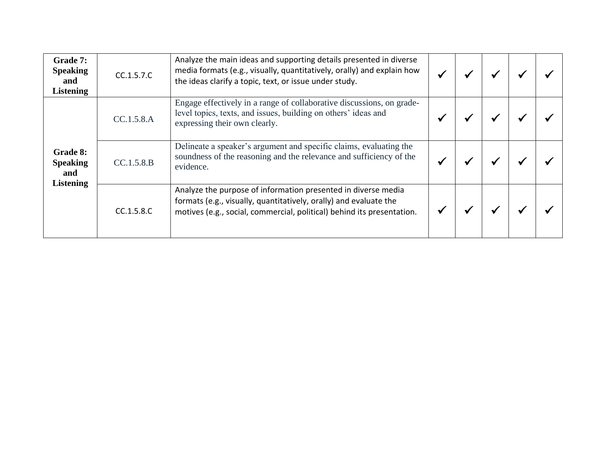| Grade 7:<br><b>Speaking</b><br>and<br><b>Listening</b>        | CC.1.5.7.C | Analyze the main ideas and supporting details presented in diverse<br>media formats (e.g., visually, quantitatively, orally) and explain how<br>the ideas clarify a topic, text, or issue under study.       |  |  |  |
|---------------------------------------------------------------|------------|--------------------------------------------------------------------------------------------------------------------------------------------------------------------------------------------------------------|--|--|--|
| <b>Grade 8:</b><br><b>Speaking</b><br>and<br><b>Listening</b> | CC.1.5.8.A | Engage effectively in a range of collaborative discussions, on grade-<br>level topics, texts, and issues, building on others' ideas and<br>expressing their own clearly.                                     |  |  |  |
|                                                               | CC.1.5.8.B | Delineate a speaker's argument and specific claims, evaluating the<br>soundness of the reasoning and the relevance and sufficiency of the<br>evidence.                                                       |  |  |  |
|                                                               | CC.1.5.8.C | Analyze the purpose of information presented in diverse media<br>formats (e.g., visually, quantitatively, orally) and evaluate the<br>motives (e.g., social, commercial, political) behind its presentation. |  |  |  |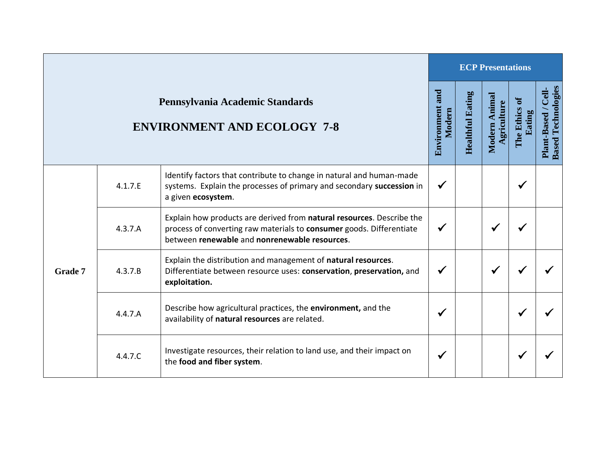|                |         |                                                                                                                                                                                                |                           |                         | <b>ECP Presentations</b>    |                           |                                                   |
|----------------|---------|------------------------------------------------------------------------------------------------------------------------------------------------------------------------------------------------|---------------------------|-------------------------|-----------------------------|---------------------------|---------------------------------------------------|
|                |         | Pennsylvania Academic Standards<br><b>ENVIRONMENT AND ECOLOGY 7-8</b>                                                                                                                          | Environment and<br>Modern | <b>Healthful Eating</b> | Modern Animal<br>griculture | ಕ<br>The Ethics<br>Eating | <b>Based Technologies</b><br>Cell-<br>Plant-Based |
| <b>Grade 7</b> | 4.1.7.E | Identify factors that contribute to change in natural and human-made<br>systems. Explain the processes of primary and secondary succession in<br>a given ecosystem.                            | $\checkmark$              |                         |                             | $\checkmark$              |                                                   |
|                | 4.3.7.A | Explain how products are derived from natural resources. Describe the<br>process of converting raw materials to consumer goods. Differentiate<br>between renewable and nonrenewable resources. | $\checkmark$              |                         | ✔                           |                           |                                                   |
|                | 4.3.7.B | Explain the distribution and management of natural resources.<br>Differentiate between resource uses: conservation, preservation, and<br>exploitation.                                         | $\checkmark$              |                         | $\checkmark$                |                           |                                                   |
|                | 4.4.7.A | Describe how agricultural practices, the environment, and the<br>availability of natural resources are related.                                                                                | $\checkmark$              |                         |                             | $\checkmark$              |                                                   |
|                | 4.4.7.C | Investigate resources, their relation to land use, and their impact on<br>the food and fiber system.                                                                                           | $\checkmark$              |                         |                             | ✔                         |                                                   |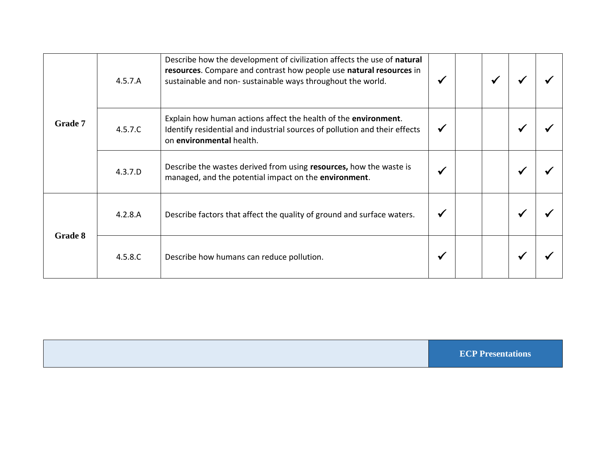| Grade 7 | 4.5.7.A | Describe how the development of civilization affects the use of natural<br>resources. Compare and contrast how people use natural resources in<br>sustainable and non- sustainable ways throughout the world. |  |  |  |
|---------|---------|---------------------------------------------------------------------------------------------------------------------------------------------------------------------------------------------------------------|--|--|--|
|         | 4.5.7.C | Explain how human actions affect the health of the environment.<br>Identify residential and industrial sources of pollution and their effects<br>on environmental health.                                     |  |  |  |
|         | 4.3.7.D | Describe the wastes derived from using resources, how the waste is<br>managed, and the potential impact on the environment.                                                                                   |  |  |  |
| Grade 8 | 4.2.8.A | Describe factors that affect the quality of ground and surface waters.                                                                                                                                        |  |  |  |
|         | 4.5.8.C | Describe how humans can reduce pollution.                                                                                                                                                                     |  |  |  |

**ECP Presentations**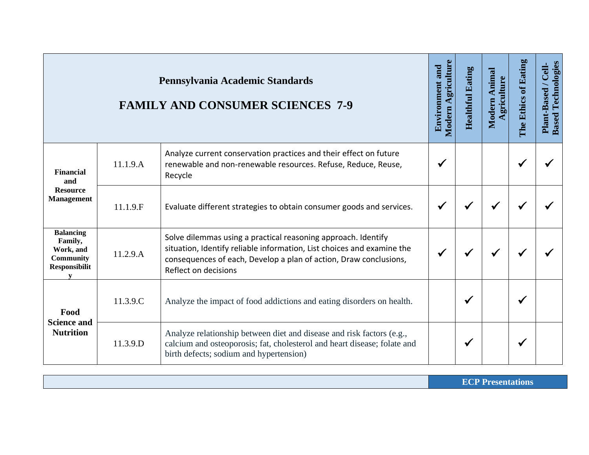|                                                                                           |          | Pennsylvania Academic Standards<br><b>FAMILY AND CONSUMER SCIENCES 7-9</b>                                                                                                                                                           | Modern Agriculture<br><b>Environment and</b> | <b>Healthful Eating</b> | Modern Animal<br>Agriculture | The Ethics of Eating | <b>Based Technologies</b><br>Plant-Based / Cell- |
|-------------------------------------------------------------------------------------------|----------|--------------------------------------------------------------------------------------------------------------------------------------------------------------------------------------------------------------------------------------|----------------------------------------------|-------------------------|------------------------------|----------------------|--------------------------------------------------|
| Financial<br>and                                                                          | 11.1.9.A | Analyze current conservation practices and their effect on future<br>renewable and non-renewable resources. Refuse, Reduce, Reuse,<br>Recycle                                                                                        | ✔                                            |                         |                              | ✔                    |                                                  |
| <b>Resource</b><br><b>Management</b>                                                      | 11.1.9.F | Evaluate different strategies to obtain consumer goods and services.                                                                                                                                                                 | ✔                                            | $\checkmark$            |                              |                      |                                                  |
| <b>Balancing</b><br>Family,<br>Work, and<br><b>Community</b><br><b>Responsibilit</b><br>V | 11.2.9.A | Solve dilemmas using a practical reasoning approach. Identify<br>situation, Identify reliable information, List choices and examine the<br>consequences of each, Develop a plan of action, Draw conclusions,<br>Reflect on decisions |                                              | $\checkmark$            | $\checkmark$                 |                      |                                                  |
| Food<br><b>Science and</b><br><b>Nutrition</b>                                            | 11.3.9.C | Analyze the impact of food addictions and eating disorders on health.                                                                                                                                                                |                                              | √                       |                              |                      |                                                  |
|                                                                                           | 11.3.9.D | Analyze relationship between diet and disease and risk factors (e.g.,<br>calcium and osteoporosis; fat, cholesterol and heart disease; folate and<br>birth defects; sodium and hypertension)                                         |                                              | ✔                       |                              |                      |                                                  |

**ECP Presentations**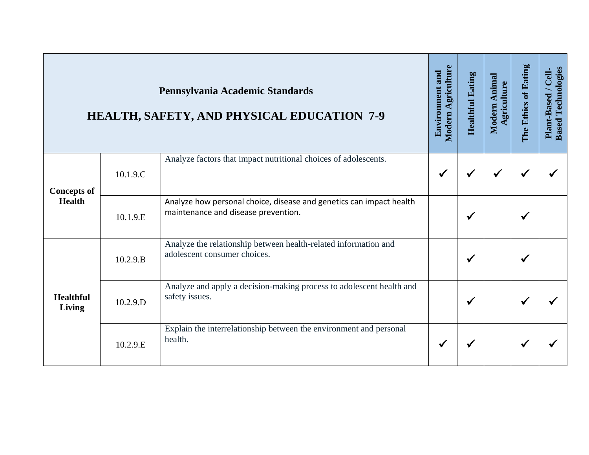|                                     |          | Pennsylvania Academic Standards<br><b>HEALTH, SAFETY, AND PHYSICAL EDUCATION 7-9</b>                       | Modern Agriculture<br><b>Environment and</b> | <b>Healthful Eating</b> | Modern Animal<br>griculture | The Ethics of Eating | <b>Based Technologies</b><br>Cell-<br>Plant-Based / |
|-------------------------------------|----------|------------------------------------------------------------------------------------------------------------|----------------------------------------------|-------------------------|-----------------------------|----------------------|-----------------------------------------------------|
| <b>Concepts of</b><br><b>Health</b> | 10.1.9.C | Analyze factors that impact nutritional choices of adolescents.                                            | $\checkmark$                                 |                         | √                           |                      |                                                     |
|                                     | 10.1.9.E | Analyze how personal choice, disease and genetics can impact health<br>maintenance and disease prevention. |                                              |                         |                             |                      |                                                     |
| <b>Healthful</b><br>Living          | 10.2.9.B | Analyze the relationship between health-related information and<br>adolescent consumer choices.            |                                              |                         |                             |                      |                                                     |
|                                     | 10.2.9.D | Analyze and apply a decision-making process to adolescent health and<br>safety issues.                     |                                              | √                       |                             |                      |                                                     |
|                                     | 10.2.9.E | Explain the interrelationship between the environment and personal<br>health.                              |                                              |                         |                             |                      |                                                     |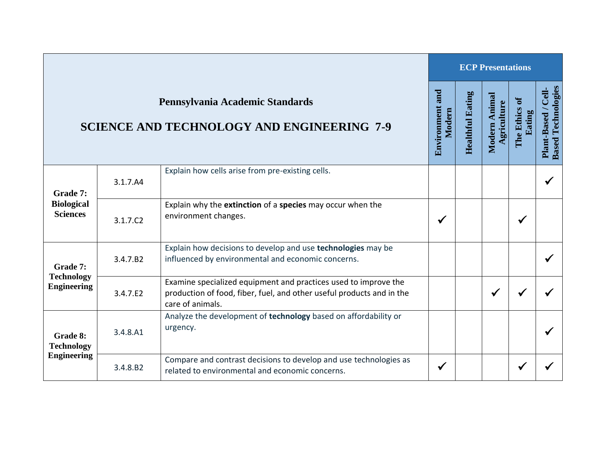|                                                     |          |                                                                                                                                                              |                           |                         | <b>ECP Presentations</b>     |                           |                                                         |
|-----------------------------------------------------|----------|--------------------------------------------------------------------------------------------------------------------------------------------------------------|---------------------------|-------------------------|------------------------------|---------------------------|---------------------------------------------------------|
|                                                     |          | Pennsylvania Academic Standards<br><b>SCIENCE AND TECHNOLOGY AND ENGINEERING 7-9</b>                                                                         | Environment and<br>Modern | <b>Healthful Eating</b> | Modern Animal<br>Agriculture | ð<br>The Ethics<br>Eating | <b>Based Technologies</b><br><b>Cell</b><br>Plant-Based |
| Grade 7:<br><b>Biological</b><br><b>Sciences</b>    | 3.1.7.A4 | Explain how cells arise from pre-existing cells.                                                                                                             |                           |                         |                              |                           | ✔                                                       |
|                                                     | 3.1.7.C2 | Explain why the extinction of a species may occur when the<br>environment changes.                                                                           | ✔                         |                         |                              | ✔                         |                                                         |
| Grade 7:                                            | 3.4.7.B2 | Explain how decisions to develop and use technologies may be<br>influenced by environmental and economic concerns.                                           |                           |                         |                              |                           |                                                         |
| <b>Technology</b><br><b>Engineering</b>             | 3.4.7.E2 | Examine specialized equipment and practices used to improve the<br>production of food, fiber, fuel, and other useful products and in the<br>care of animals. |                           |                         | $\checkmark$                 | $\checkmark$              |                                                         |
| Grade 8:<br><b>Technology</b><br><b>Engineering</b> | 3.4.8.A1 | Analyze the development of technology based on affordability or<br>urgency.                                                                                  |                           |                         |                              |                           | ✔                                                       |
|                                                     | 3.4.8.B2 | Compare and contrast decisions to develop and use technologies as<br>related to environmental and economic concerns.                                         | ✔                         |                         |                              | ✔                         |                                                         |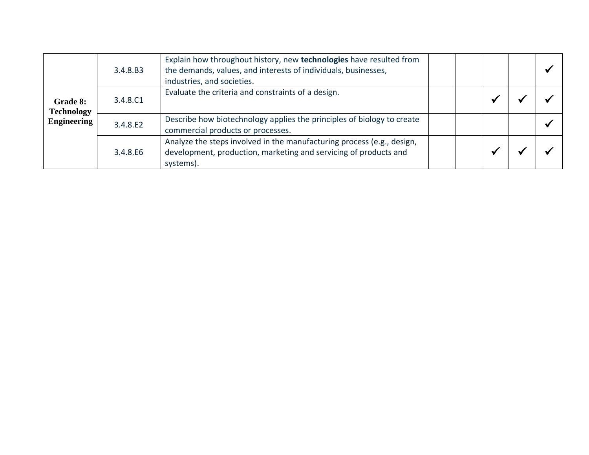|                               | 3.4.8.B3 | Explain how throughout history, new technologies have resulted from<br>the demands, values, and interests of individuals, businesses,<br>industries, and societies. |  |  |
|-------------------------------|----------|---------------------------------------------------------------------------------------------------------------------------------------------------------------------|--|--|
| Grade 8:<br><b>Technology</b> | 3.4.8.C1 | Evaluate the criteria and constraints of a design.                                                                                                                  |  |  |
| <b>Engineering</b>            | 3.4.8.E2 | Describe how biotechnology applies the principles of biology to create<br>commercial products or processes.                                                         |  |  |
|                               | 3.4.8.E6 | Analyze the steps involved in the manufacturing process (e.g., design,<br>development, production, marketing and servicing of products and<br>systems).             |  |  |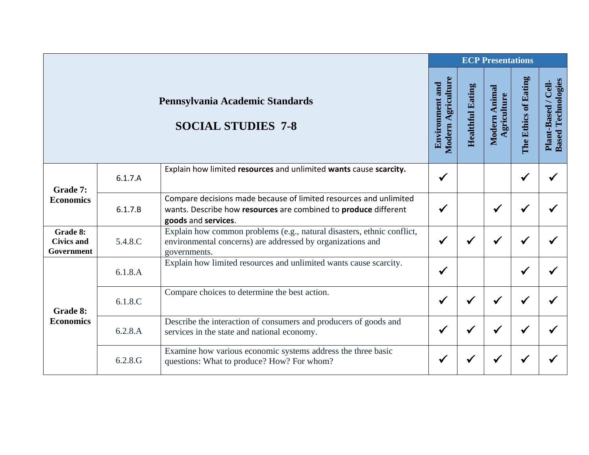|                                             |            |                                                                                                                                                             |                                              |                         | <b>ECP Presentations</b>     |                      |                                                  |
|---------------------------------------------|------------|-------------------------------------------------------------------------------------------------------------------------------------------------------------|----------------------------------------------|-------------------------|------------------------------|----------------------|--------------------------------------------------|
|                                             |            | Pennsylvania Academic Standards<br><b>SOCIAL STUDIES 7-8</b>                                                                                                | Modern Agriculture<br><b>Environment and</b> | <b>Healthful Eating</b> | Modern Animal<br>Agriculture | The Ethics of Eating | <b>Based Technologies</b><br>Plant-Based / Cell- |
| Grade 7:                                    | 6.1.7.A    | Explain how limited resources and unlimited wants cause scarcity.                                                                                           | $\checkmark$                                 |                         |                              |                      |                                                  |
| <b>Economics</b>                            | 6.1.7.B    | Compare decisions made because of limited resources and unlimited<br>wants. Describe how resources are combined to produce different<br>goods and services. | $\checkmark$                                 |                         | $\checkmark$                 |                      |                                                  |
| Grade 8:<br><b>Civics and</b><br>Government | 5.4.8.C    | Explain how common problems (e.g., natural disasters, ethnic conflict,<br>environmental concerns) are addressed by organizations and<br>governments.        | $\checkmark$                                 | ✔                       | √                            |                      |                                                  |
|                                             | 6.1.8.A    | Explain how limited resources and unlimited wants cause scarcity.                                                                                           | $\checkmark$                                 |                         |                              |                      |                                                  |
| Grade 8:<br><b>Economics</b>                | 6.1.8.C    | Compare choices to determine the best action.                                                                                                               | $\checkmark$                                 | $\checkmark$            |                              |                      |                                                  |
|                                             | 6.2.8.A    | Describe the interaction of consumers and producers of goods and<br>services in the state and national economy.                                             | $\checkmark$                                 | $\checkmark$            | $\checkmark$                 |                      |                                                  |
|                                             | $6.2.8$ .G | Examine how various economic systems address the three basic<br>questions: What to produce? How? For whom?                                                  | √                                            |                         |                              |                      |                                                  |